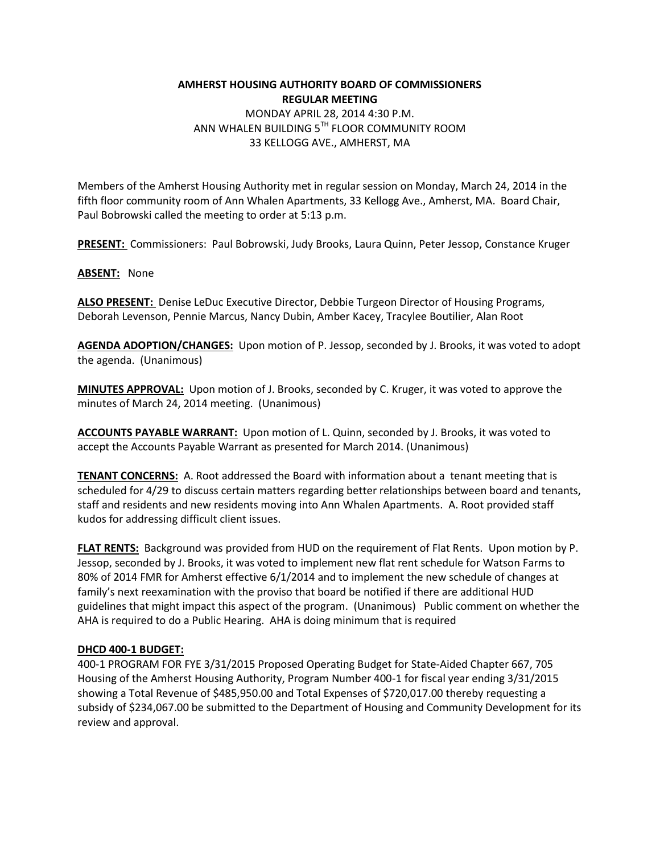# **AMHERST HOUSING AUTHORITY BOARD OF COMMISSIONERS REGULAR MEETING**  MONDAY APRIL 28, 2014 4:30 P.M. ANN WHALEN BUILDING 5TH FLOOR COMMUNITY ROOM 33 KELLOGG AVE., AMHERST, MA

Members of the Amherst Housing Authority met in regular session on Monday, March 24, 2014 in the fifth floor community room of Ann Whalen Apartments, 33 Kellogg Ave., Amherst, MA. Board Chair, Paul Bobrowski called the meeting to order at 5:13 p.m.

**PRESENT:** Commissioners: Paul Bobrowski, Judy Brooks, Laura Quinn, Peter Jessop, Constance Kruger

**ABSENT:** None

**ALSO PRESENT:** Denise LeDuc Executive Director, Debbie Turgeon Director of Housing Programs, Deborah Levenson, Pennie Marcus, Nancy Dubin, Amber Kacey, Tracylee Boutilier, Alan Root

**AGENDA ADOPTION/CHANGES:** Upon motion of P. Jessop, seconded by J. Brooks, it was voted to adopt the agenda. (Unanimous)

**MINUTES APPROVAL:** Upon motion of J. Brooks, seconded by C. Kruger, it was voted to approve the minutes of March 24, 2014 meeting. (Unanimous)

**ACCOUNTS PAYABLE WARRANT:** Upon motion of L. Quinn, seconded by J. Brooks, it was voted to accept the Accounts Payable Warrant as presented for March 2014. (Unanimous)

**TENANT CONCERNS:** A. Root addressed the Board with information about a tenant meeting that is scheduled for 4/29 to discuss certain matters regarding better relationships between board and tenants, staff and residents and new residents moving into Ann Whalen Apartments. A. Root provided staff kudos for addressing difficult client issues.

**FLAT RENTS:** Background was provided from HUD on the requirement of Flat Rents. Upon motion by P. Jessop, seconded by J. Brooks, it was voted to implement new flat rent schedule for Watson Farms to 80% of 2014 FMR for Amherst effective 6/1/2014 and to implement the new schedule of changes at family's next reexamination with the proviso that board be notified if there are additional HUD guidelines that might impact this aspect of the program. (Unanimous) Public comment on whether the AHA is required to do a Public Hearing. AHA is doing minimum that is required

#### **DHCD 400-1 BUDGET:**

400-1 PROGRAM FOR FYE 3/31/2015 Proposed Operating Budget for State-Aided Chapter 667, 705 Housing of the Amherst Housing Authority, Program Number 400-1 for fiscal year ending 3/31/2015 showing a Total Revenue of \$485,950.00 and Total Expenses of \$720,017.00 thereby requesting a subsidy of \$234,067.00 be submitted to the Department of Housing and Community Development for its review and approval.